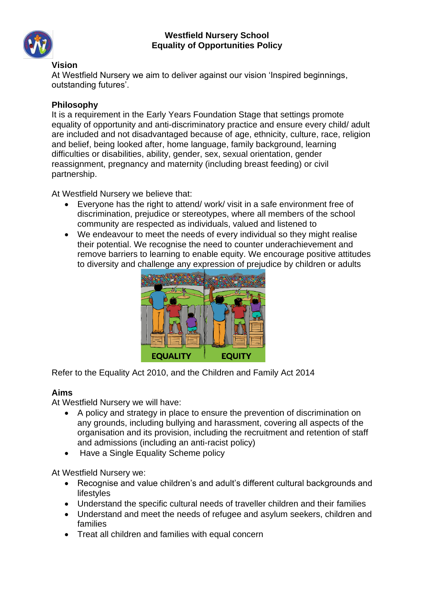

#### **Vision**

At Westfield Nursery we aim to deliver against our vision 'Inspired beginnings, outstanding futures'.

# **Philosophy**

It is a requirement in the Early Years Foundation Stage that settings promote equality of opportunity and anti-discriminatory practice and ensure every child/ adult are included and not disadvantaged because of age, ethnicity, culture, race, religion and belief, being looked after, home language, family background, learning difficulties or disabilities, ability, gender, sex, sexual orientation, gender reassignment, pregnancy and maternity (including breast feeding) or civil partnership.

At Westfield Nursery we believe that:

- Everyone has the right to attend/ work/ visit in a safe environment free of discrimination, prejudice or stereotypes, where all members of the school community are respected as individuals, valued and listened to
- We endeavour to meet the needs of every individual so they might realise their potential. We recognise the need to counter underachievement and remove barriers to learning to enable equity. We encourage positive attitudes to diversity and challenge any expression of prejudice by children or adults



Refer to the Equality Act 2010, and the Children and Family Act 2014

#### **Aims**

At Westfield Nursery we will have:

- A policy and strategy in place to ensure the prevention of discrimination on any grounds, including bullying and harassment, covering all aspects of the organisation and its provision, including the recruitment and retention of staff and admissions (including an anti-racist policy)
- Have a Single Equality Scheme policy

At Westfield Nursery we:

- Recognise and value children's and adult's different cultural backgrounds and lifestyles
- Understand the specific cultural needs of traveller children and their families
- Understand and meet the needs of refugee and asylum seekers, children and families
- Treat all children and families with equal concern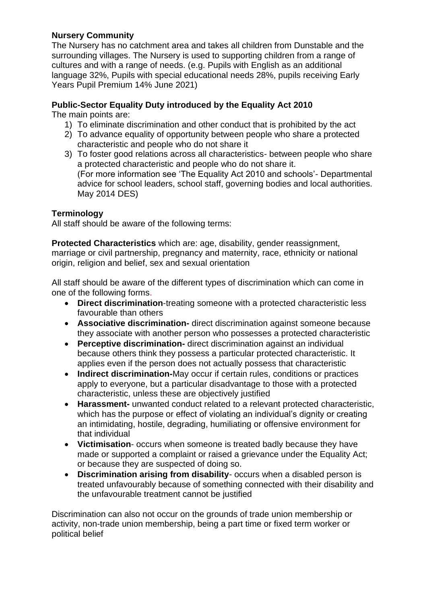# **Nursery Community**

The Nursery has no catchment area and takes all children from Dunstable and the surrounding villages. The Nursery is used to supporting children from a range of cultures and with a range of needs. (e.g. Pupils with English as an additional language 32%, Pupils with special educational needs 28%, pupils receiving Early Years Pupil Premium 14% June 2021)

# **Public-Sector Equality Duty introduced by the Equality Act 2010**

The main points are:

- 1) To eliminate discrimination and other conduct that is prohibited by the act
- 2) To advance equality of opportunity between people who share a protected characteristic and people who do not share it
- 3) To foster good relations across all characteristics- between people who share a protected characteristic and people who do not share it. (For more information see 'The Equality Act 2010 and schools'- Departmental advice for school leaders, school staff, governing bodies and local authorities. May 2014 DES)

# **Terminology**

All staff should be aware of the following terms:

**Protected Characteristics** which are: age, disability, gender reassignment, marriage or civil partnership, pregnancy and maternity, race, ethnicity or national origin, religion and belief, sex and sexual orientation

All staff should be aware of the different types of discrimination which can come in one of the following forms.

- **Direct discrimination**-treating someone with a protected characteristic less favourable than others
- **Associative discrimination-** direct discrimination against someone because they associate with another person who possesses a protected characteristic
- **Perceptive discrimination-** direct discrimination against an individual because others think they possess a particular protected characteristic. It applies even if the person does not actually possess that characteristic
- **Indirect discrimination-**May occur if certain rules, conditions or practices apply to everyone, but a particular disadvantage to those with a protected characteristic, unless these are objectively justified
- **Harassment-** unwanted conduct related to a relevant protected characteristic, which has the purpose or effect of violating an individual's dignity or creating an intimidating, hostile, degrading, humiliating or offensive environment for that individual
- **Victimisation** occurs when someone is treated badly because they have made or supported a complaint or raised a grievance under the Equality Act; or because they are suspected of doing so.
- **Discrimination arising from disability** occurs when a disabled person is treated unfavourably because of something connected with their disability and the unfavourable treatment cannot be justified

Discrimination can also not occur on the grounds of trade union membership or activity, non-trade union membership, being a part time or fixed term worker or political belief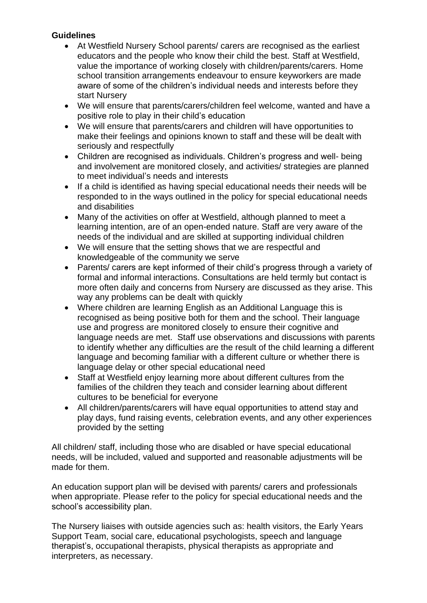## **Guidelines**

- At Westfield Nursery School parents/ carers are recognised as the earliest educators and the people who know their child the best. Staff at Westfield, value the importance of working closely with children/parents/carers. Home school transition arrangements endeavour to ensure keyworkers are made aware of some of the children's individual needs and interests before they start Nursery
- We will ensure that parents/carers/children feel welcome, wanted and have a positive role to play in their child's education
- We will ensure that parents/carers and children will have opportunities to make their feelings and opinions known to staff and these will be dealt with seriously and respectfully
- Children are recognised as individuals. Children's progress and well- being and involvement are monitored closely, and activities/ strategies are planned to meet individual's needs and interests
- If a child is identified as having special educational needs their needs will be responded to in the ways outlined in the policy for special educational needs and disabilities
- Many of the activities on offer at Westfield, although planned to meet a learning intention, are of an open-ended nature. Staff are very aware of the needs of the individual and are skilled at supporting individual children
- We will ensure that the setting shows that we are respectful and knowledgeable of the community we serve
- Parents/ carers are kept informed of their child's progress through a variety of formal and informal interactions. Consultations are held termly but contact is more often daily and concerns from Nursery are discussed as they arise. This way any problems can be dealt with quickly
- Where children are learning English as an Additional Language this is recognised as being positive both for them and the school. Their language use and progress are monitored closely to ensure their cognitive and language needs are met. Staff use observations and discussions with parents to identify whether any difficulties are the result of the child learning a different language and becoming familiar with a different culture or whether there is language delay or other special educational need
- Staff at Westfield enjoy learning more about different cultures from the families of the children they teach and consider learning about different cultures to be beneficial for everyone
- All children/parents/carers will have equal opportunities to attend stay and play days, fund raising events, celebration events, and any other experiences provided by the setting

All children/ staff, including those who are disabled or have special educational needs, will be included, valued and supported and reasonable adjustments will be made for them.

An education support plan will be devised with parents/ carers and professionals when appropriate. Please refer to the policy for special educational needs and the school's accessibility plan.

The Nursery liaises with outside agencies such as: health visitors, the Early Years Support Team, social care, educational psychologists, speech and language therapist's, occupational therapists, physical therapists as appropriate and interpreters, as necessary.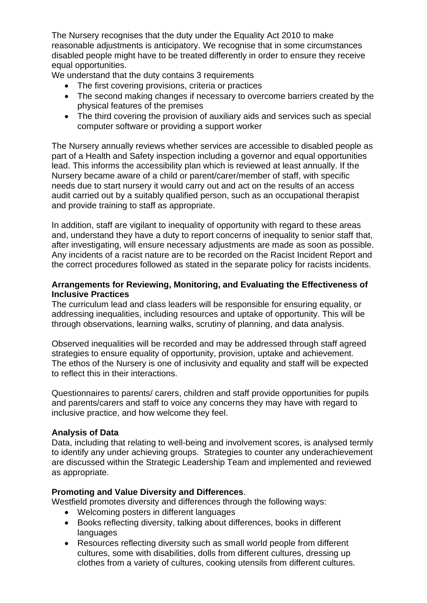The Nursery recognises that the duty under the Equality Act 2010 to make reasonable adjustments is anticipatory. We recognise that in some circumstances disabled people might have to be treated differently in order to ensure they receive equal opportunities.

We understand that the duty contains 3 requirements

- The first covering provisions, criteria or practices
- The second making changes if necessary to overcome barriers created by the physical features of the premises
- The third covering the provision of auxiliary aids and services such as special computer software or providing a support worker

The Nursery annually reviews whether services are accessible to disabled people as part of a Health and Safety inspection including a governor and equal opportunities lead. This informs the accessibility plan which is reviewed at least annually. If the Nursery became aware of a child or parent/carer/member of staff, with specific needs due to start nursery it would carry out and act on the results of an access audit carried out by a suitably qualified person, such as an occupational therapist and provide training to staff as appropriate.

In addition, staff are vigilant to inequality of opportunity with regard to these areas and, understand they have a duty to report concerns of inequality to senior staff that, after investigating, will ensure necessary adjustments are made as soon as possible. Any incidents of a racist nature are to be recorded on the Racist Incident Report and the correct procedures followed as stated in the separate policy for racists incidents.

## **Arrangements for Reviewing, Monitoring, and Evaluating the Effectiveness of Inclusive Practices**

The curriculum lead and class leaders will be responsible for ensuring equality, or addressing inequalities, including resources and uptake of opportunity. This will be through observations, learning walks, scrutiny of planning, and data analysis.

Observed inequalities will be recorded and may be addressed through staff agreed strategies to ensure equality of opportunity, provision, uptake and achievement. The ethos of the Nursery is one of inclusivity and equality and staff will be expected to reflect this in their interactions.

Questionnaires to parents/ carers, children and staff provide opportunities for pupils and parents/carers and staff to voice any concerns they may have with regard to inclusive practice, and how welcome they feel.

#### **Analysis of Data**

Data, including that relating to well-being and involvement scores, is analysed termly to identify any under achieving groups. Strategies to counter any underachievement are discussed within the Strategic Leadership Team and implemented and reviewed as appropriate.

# **Promoting and Value Diversity and Differences**.

Westfield promotes diversity and differences through the following ways:

- Welcoming posters in different languages
- Books reflecting diversity, talking about differences, books in different languages
- Resources reflecting diversity such as small world people from different cultures, some with disabilities, dolls from different cultures, dressing up clothes from a variety of cultures, cooking utensils from different cultures.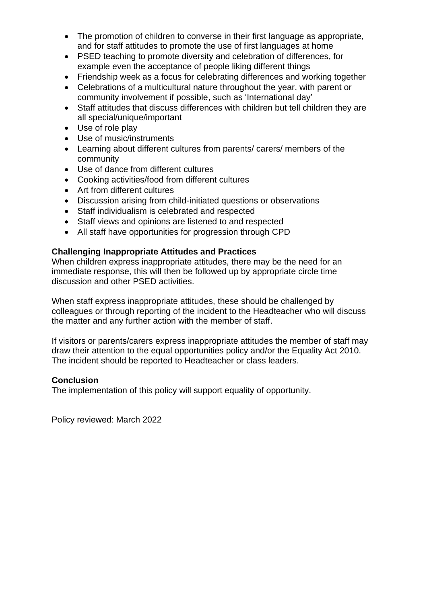- The promotion of children to converse in their first language as appropriate, and for staff attitudes to promote the use of first languages at home
- PSED teaching to promote diversity and celebration of differences, for example even the acceptance of people liking different things
- Friendship week as a focus for celebrating differences and working together
- Celebrations of a multicultural nature throughout the year, with parent or community involvement if possible, such as 'International day'
- Staff attitudes that discuss differences with children but tell children they are all special/unique/important
- Use of role play
- Use of music/instruments
- Learning about different cultures from parents/ carers/ members of the community
- Use of dance from different cultures
- Cooking activities/food from different cultures
- Art from different cultures
- Discussion arising from child-initiated questions or observations
- Staff individualism is celebrated and respected
- Staff views and opinions are listened to and respected
- All staff have opportunities for progression through CPD

#### **Challenging Inappropriate Attitudes and Practices**

When children express inappropriate attitudes, there may be the need for an immediate response, this will then be followed up by appropriate circle time discussion and other PSED activities.

When staff express inappropriate attitudes, these should be challenged by colleagues or through reporting of the incident to the Headteacher who will discuss the matter and any further action with the member of staff.

If visitors or parents/carers express inappropriate attitudes the member of staff may draw their attention to the equal opportunities policy and/or the Equality Act 2010. The incident should be reported to Headteacher or class leaders.

#### **Conclusion**

The implementation of this policy will support equality of opportunity.

Policy reviewed: March 2022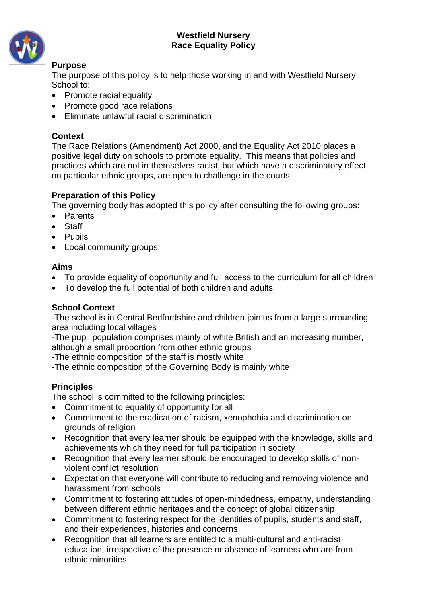### **Westfield Nursery Race Equality Policy**



# **Purpose**

The purpose of this policy is to help those working in and with Westfield Nursery School to:

- Promote racial equality
- Promote good race relations
- Eliminate unlawful racial discrimination

# **Context**

The Race Relations (Amendment) Act 2000, and the Equality Act 2010 places a positive legal duty on schools to promote equality. This means that policies and practices which are not in themselves racist, but which have a discriminatory effect on particular ethnic groups, are open to challenge in the courts.

# **Preparation of this Policy**

The governing body has adopted this policy after consulting the following groups:

- Parents
- Staff
- Pupils
- Local community groups

# **Aims**

- To provide equality of opportunity and full access to the curriculum for all children
- To develop the full potential of both children and adults

# **School Context**

-The school is in Central Bedfordshire and children join us from a large surrounding area including local villages

-The pupil population comprises mainly of white British and an increasing number, although a small proportion from other ethnic groups

-The ethnic composition of the staff is mostly white

-The ethnic composition of the Governing Body is mainly white

# **Principles**

The school is committed to the following principles:

- Commitment to equality of opportunity for all
- Commitment to the eradication of racism, xenophobia and discrimination on grounds of religion
- Recognition that every learner should be equipped with the knowledge, skills and achievements which they need for full participation in society
- Recognition that every learner should be encouraged to develop skills of nonviolent conflict resolution
- Expectation that everyone will contribute to reducing and removing violence and harassment from schools
- Commitment to fostering attitudes of open-mindedness, empathy, understanding between different ethnic heritages and the concept of global citizenship
- Commitment to fostering respect for the identities of pupils, students and staff, and their experiences, histories and concerns
- Recognition that all learners are entitled to a multi-cultural and anti-racist education, irrespective of the presence or absence of learners who are from ethnic minorities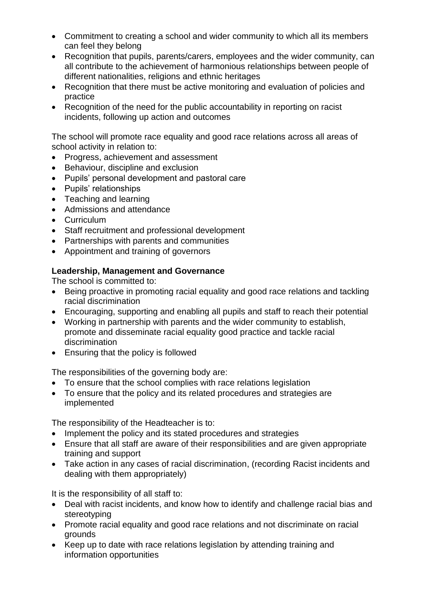- Commitment to creating a school and wider community to which all its members can feel they belong
- Recognition that pupils, parents/carers, employees and the wider community, can all contribute to the achievement of harmonious relationships between people of different nationalities, religions and ethnic heritages
- Recognition that there must be active monitoring and evaluation of policies and practice
- Recognition of the need for the public accountability in reporting on racist incidents, following up action and outcomes

The school will promote race equality and good race relations across all areas of school activity in relation to:

- Progress, achievement and assessment
- Behaviour, discipline and exclusion
- Pupils' personal development and pastoral care
- Pupils' relationships
- Teaching and learning
- Admissions and attendance
- Curriculum
- Staff recruitment and professional development
- Partnerships with parents and communities
- Appointment and training of governors

# **Leadership, Management and Governance**

The school is committed to:

- Being proactive in promoting racial equality and good race relations and tackling racial discrimination
- Encouraging, supporting and enabling all pupils and staff to reach their potential
- Working in partnership with parents and the wider community to establish, promote and disseminate racial equality good practice and tackle racial discrimination
- Ensuring that the policy is followed

The responsibilities of the governing body are:

- To ensure that the school complies with race relations legislation
- To ensure that the policy and its related procedures and strategies are implemented

The responsibility of the Headteacher is to:

- Implement the policy and its stated procedures and strategies
- Ensure that all staff are aware of their responsibilities and are given appropriate training and support
- Take action in any cases of racial discrimination, (recording Racist incidents and dealing with them appropriately)

It is the responsibility of all staff to:

- Deal with racist incidents, and know how to identify and challenge racial bias and stereotyping
- Promote racial equality and good race relations and not discriminate on racial grounds
- Keep up to date with race relations legislation by attending training and information opportunities